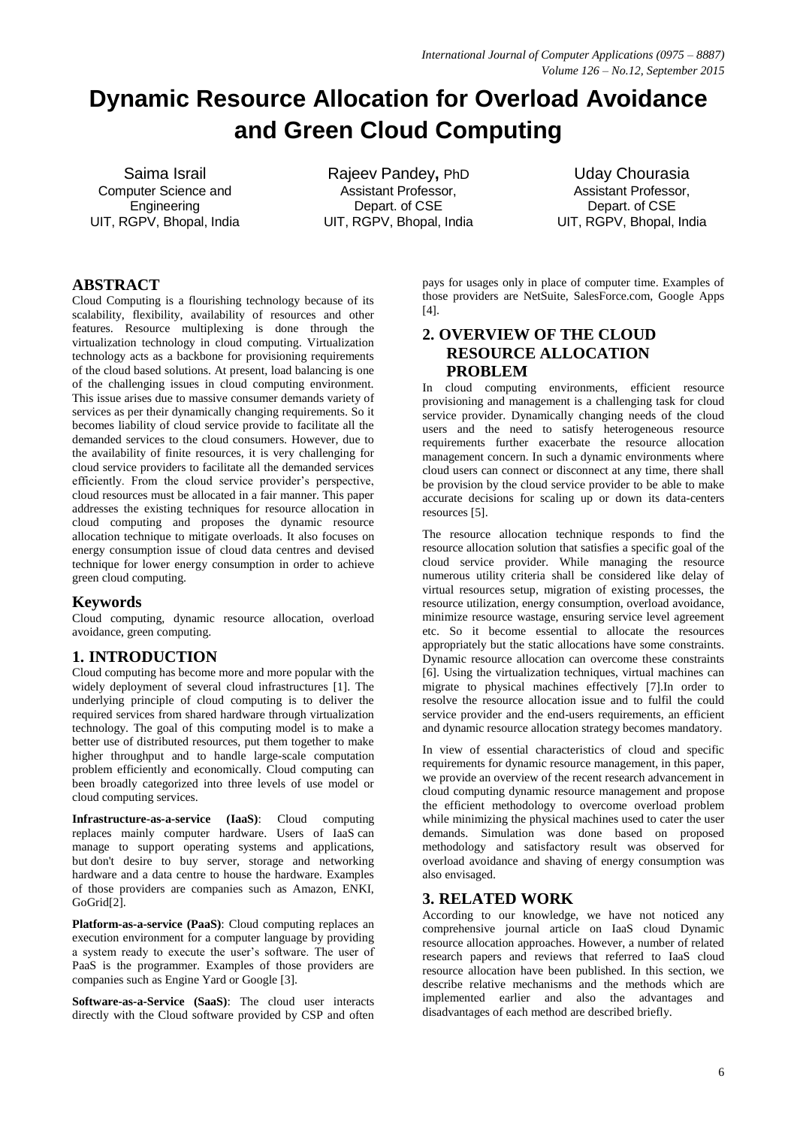# **Dynamic Resource Allocation for Overload Avoidance and Green Cloud Computing**

Saima Israil Computer Science and **Engineering** UIT, RGPV, Bhopal, India

Rajeev Pandey**,** PhD Assistant Professor, Depart. of CSE UIT, RGPV, Bhopal, India

Uday Chourasia Assistant Professor, Depart. of CSE UIT, RGPV, Bhopal, India

# **ABSTRACT**

Cloud Computing is a flourishing technology because of its scalability, flexibility, availability of resources and other features. Resource multiplexing is done through the virtualization technology in cloud computing. Virtualization technology acts as a backbone for provisioning requirements of the cloud based solutions. At present, load balancing is one of the challenging issues in cloud computing environment. This issue arises due to massive consumer demands variety of services as per their dynamically changing requirements. So it becomes liability of cloud service provide to facilitate all the demanded services to the cloud consumers. However, due to the availability of finite resources, it is very challenging for cloud service providers to facilitate all the demanded services efficiently. From the cloud service provider's perspective, cloud resources must be allocated in a fair manner. This paper addresses the existing techniques for resource allocation in cloud computing and proposes the dynamic resource allocation technique to mitigate overloads. It also focuses on energy consumption issue of cloud data centres and devised technique for lower energy consumption in order to achieve green cloud computing.

### **Keywords**

Cloud computing, dynamic resource allocation, overload avoidance, green computing.

# **1. INTRODUCTION**

Cloud computing has become more and more popular with the widely deployment of several cloud infrastructures [1]. The underlying principle of cloud computing is to deliver the required services from shared hardware through virtualization technology. The goal of this computing model is to make a better use of distributed resources, put them together to make higher throughput and to handle large-scale computation problem efficiently and economically. Cloud computing can been broadly categorized into three levels of use model or cloud computing services.

**Infrastructure-as-a-service (IaaS)**: Cloud computing replaces mainly computer hardware. Users of IaaS can manage to support operating systems and applications, but don't desire to buy server, storage and networking hardware and a data centre to house the hardware. Examples of those providers are companies such as Amazon, ENKI, GoGrid<sup>[2]</sup>.

**Platform-as-a-service (PaaS)**: Cloud computing replaces an execution environment for a computer language by providing a system ready to execute the user's software. The user of PaaS is the programmer. Examples of those providers are companies such as Engine Yard or Google [3].

**Software-as-a-Service (SaaS)**: The cloud user interacts directly with the Cloud software provided by CSP and often pays for usages only in place of computer time. Examples of those providers are NetSuite, SalesForce.com, Google Apps [4].

# **2. OVERVIEW OF THE CLOUD RESOURCE ALLOCATION PROBLEM**

In cloud computing environments, efficient resource provisioning and management is a challenging task for cloud service provider. Dynamically changing needs of the cloud users and the need to satisfy heterogeneous resource requirements further exacerbate the resource allocation management concern. In such a dynamic environments where cloud users can connect or disconnect at any time, there shall be provision by the cloud service provider to be able to make accurate decisions for scaling up or down its data-centers resources [5].

The resource allocation technique responds to find the resource allocation solution that satisfies a specific goal of the cloud service provider. While managing the resource numerous utility criteria shall be considered like delay of virtual resources setup, migration of existing processes, the resource utilization, energy consumption, overload avoidance, minimize resource wastage, ensuring service level agreement etc. So it become essential to allocate the resources appropriately but the static allocations have some constraints. Dynamic resource allocation can overcome these constraints [6]. Using the virtualization techniques, virtual machines can migrate to physical machines effectively [7].In order to resolve the resource allocation issue and to fulfil the could service provider and the end-users requirements, an efficient and dynamic resource allocation strategy becomes mandatory.

In view of essential characteristics of cloud and specific requirements for dynamic resource management, in this paper, we provide an overview of the recent research advancement in cloud computing dynamic resource management and propose the efficient methodology to overcome overload problem while minimizing the physical machines used to cater the user demands. Simulation was done based on proposed methodology and satisfactory result was observed for overload avoidance and shaving of energy consumption was also envisaged.

### **3. RELATED WORK**

According to our knowledge, we have not noticed any comprehensive journal article on IaaS cloud Dynamic resource allocation approaches. However, a number of related research papers and reviews that referred to IaaS cloud resource allocation have been published. In this section, we describe relative mechanisms and the methods which are implemented earlier and also the advantages and disadvantages of each method are described briefly.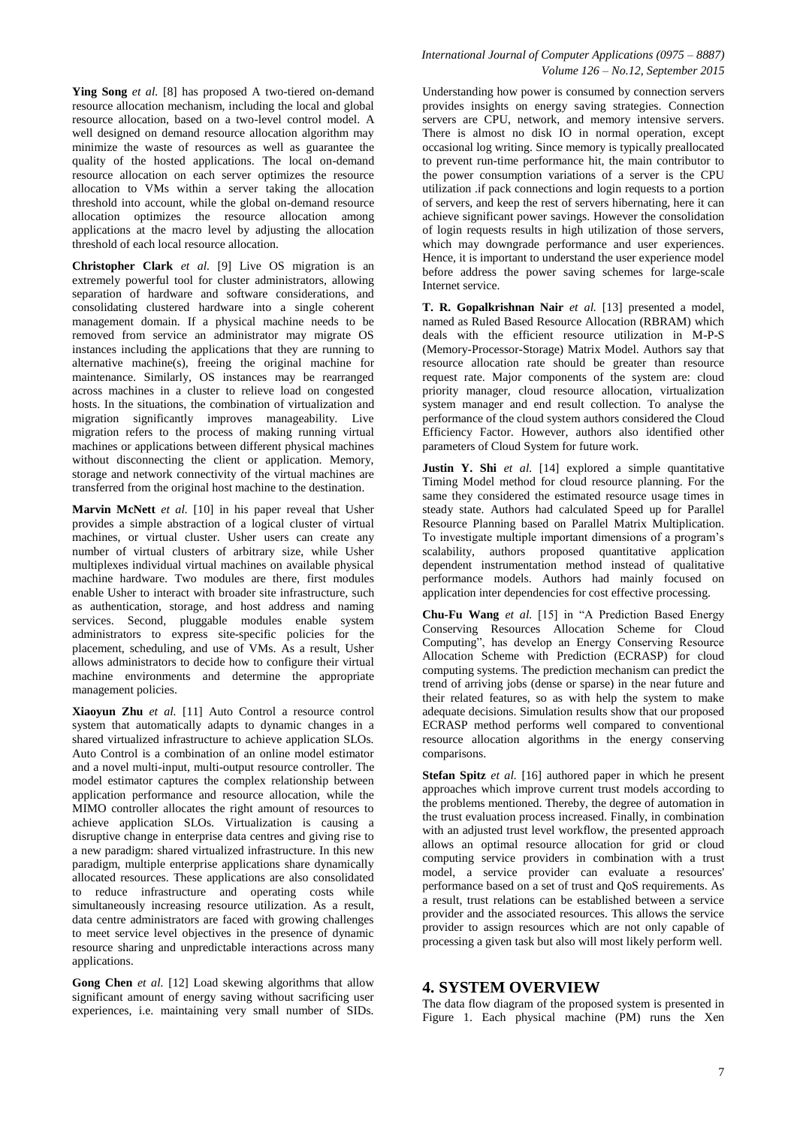**Ying Song** *et al.* [8] has proposed A two-tiered on-demand resource allocation mechanism, including the local and global resource allocation, based on a two-level control model. A well designed on demand resource allocation algorithm may minimize the waste of resources as well as guarantee the quality of the hosted applications. The local on-demand resource allocation on each server optimizes the resource allocation to VMs within a server taking the allocation threshold into account, while the global on-demand resource allocation optimizes the resource allocation among applications at the macro level by adjusting the allocation threshold of each local resource allocation.

**Christopher Clark** *et al.* [9] Live OS migration is an extremely powerful tool for cluster administrators, allowing separation of hardware and software considerations, and consolidating clustered hardware into a single coherent management domain. If a physical machine needs to be removed from service an administrator may migrate OS instances including the applications that they are running to alternative machine(s), freeing the original machine for maintenance. Similarly, OS instances may be rearranged across machines in a cluster to relieve load on congested hosts. In the situations, the combination of virtualization and migration significantly improves manageability. Live migration refers to the process of making running virtual machines or applications between different physical machines without disconnecting the client or application. Memory, storage and network connectivity of the virtual machines are transferred from the original host machine to the destination.

**Marvin McNett** *et al.* [10] in his paper reveal that Usher provides a simple abstraction of a logical cluster of virtual machines, or virtual cluster. Usher users can create any number of virtual clusters of arbitrary size, while Usher multiplexes individual virtual machines on available physical machine hardware. Two modules are there, first modules enable Usher to interact with broader site infrastructure, such as authentication, storage, and host address and naming services. Second, pluggable modules enable system administrators to express site-specific policies for the placement, scheduling, and use of VMs. As a result, Usher allows administrators to decide how to configure their virtual machine environments and determine the appropriate management policies.

**Xiaoyun Zhu** *et al.* [11] Auto Control a resource control system that automatically adapts to dynamic changes in a shared virtualized infrastructure to achieve application SLOs. Auto Control is a combination of an online model estimator and a novel multi-input, multi-output resource controller. The model estimator captures the complex relationship between application performance and resource allocation, while the MIMO controller allocates the right amount of resources to achieve application SLOs. Virtualization is causing a disruptive change in enterprise data centres and giving rise to a new paradigm: shared virtualized infrastructure. In this new paradigm, multiple enterprise applications share dynamically allocated resources. These applications are also consolidated to reduce infrastructure and operating costs while simultaneously increasing resource utilization. As a result, data centre administrators are faced with growing challenges to meet service level objectives in the presence of dynamic resource sharing and unpredictable interactions across many applications.

**Gong Chen** *et al.* [12] Load skewing algorithms that allow significant amount of energy saving without sacrificing user experiences, i.e. maintaining very small number of SIDs.

#### *International Journal of Computer Applications (0975 – 8887) Volume 126 – No.12, September 2015*

Understanding how power is consumed by connection servers provides insights on energy saving strategies. Connection servers are CPU, network, and memory intensive servers. There is almost no disk IO in normal operation, except occasional log writing. Since memory is typically preallocated to prevent run-time performance hit, the main contributor to the power consumption variations of a server is the CPU utilization .if pack connections and login requests to a portion of servers, and keep the rest of servers hibernating, here it can achieve significant power savings. However the consolidation of login requests results in high utilization of those servers, which may downgrade performance and user experiences. Hence, it is important to understand the user experience model before address the power saving schemes for large-scale Internet service.

**T. R. Gopalkrishnan Nair** *et al.* [13] presented a model, named as Ruled Based Resource Allocation (RBRAM) which deals with the efficient resource utilization in M-P-S (Memory-Processor-Storage) Matrix Model. Authors say that resource allocation rate should be greater than resource request rate. Major components of the system are: cloud priority manager, cloud resource allocation, virtualization system manager and end result collection. To analyse the performance of the cloud system authors considered the Cloud Efficiency Factor. However, authors also identified other parameters of Cloud System for future work.

**Justin Y. Shi** *et al.* [14] explored a simple quantitative Timing Model method for cloud resource planning. For the same they considered the estimated resource usage times in steady state. Authors had calculated Speed up for Parallel Resource Planning based on Parallel Matrix Multiplication. To investigate multiple important dimensions of a program's scalability, authors proposed quantitative application dependent instrumentation method instead of qualitative performance models. Authors had mainly focused on application inter dependencies for cost effective processing.

**Chu-Fu Wang** *et al.* [15] in "A Prediction Based Energy Conserving Resources Allocation Scheme for Cloud Computing", has develop an Energy Conserving Resource Allocation Scheme with Prediction (ECRASP) for cloud computing systems. The prediction mechanism can predict the trend of arriving jobs (dense or sparse) in the near future and their related features, so as with help the system to make adequate decisions. Simulation results show that our proposed ECRASP method performs well compared to conventional resource allocation algorithms in the energy conserving comparisons.

**Stefan Spitz** *et al.* [16] authored paper in which he present approaches which improve current trust models according to the problems mentioned. Thereby, the degree of automation in the trust evaluation process increased. Finally, in combination with an adjusted trust level workflow, the presented approach allows an optimal resource allocation for grid or cloud computing service providers in combination with a trust model, a service provider can evaluate a resources' performance based on a set of trust and QoS requirements. As a result, trust relations can be established between a service provider and the associated resources. This allows the service provider to assign resources which are not only capable of processing a given task but also will most likely perform well.

### **4. SYSTEM OVERVIEW**

The data flow diagram of the proposed system is presented in Figure 1. Each physical machine (PM) runs the Xen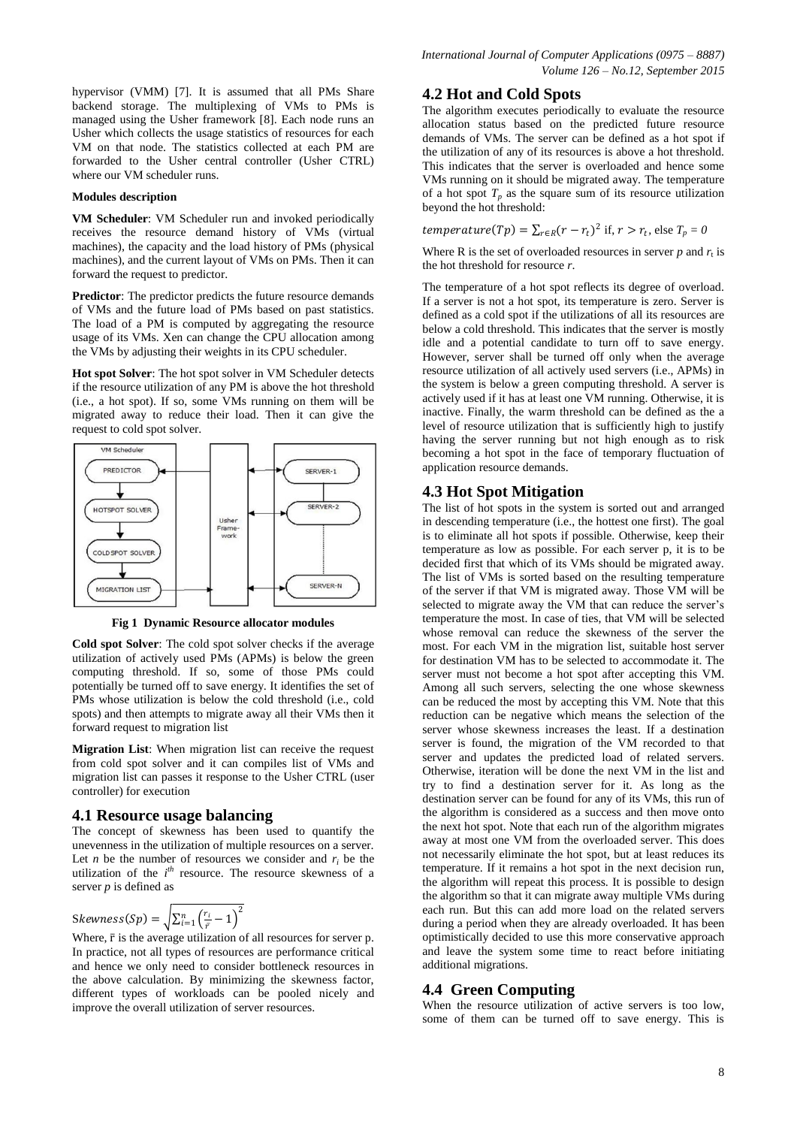hypervisor (VMM) [7]. It is assumed that all PMs Share backend storage. The multiplexing of VMs to PMs is managed using the Usher framework [8]. Each node runs an Usher which collects the usage statistics of resources for each VM on that node. The statistics collected at each PM are forwarded to the Usher central controller (Usher CTRL) where our VM scheduler runs.

### **Modules description**

**VM Scheduler**: VM Scheduler run and invoked periodically receives the resource demand history of VMs (virtual machines), the capacity and the load history of PMs (physical machines), and the current layout of VMs on PMs. Then it can forward the request to predictor.

**Predictor**: The predictor predicts the future resource demands of VMs and the future load of PMs based on past statistics. The load of a PM is computed by aggregating the resource usage of its VMs. Xen can change the CPU allocation among the VMs by adjusting their weights in its CPU scheduler.

**Hot spot Solver**: The hot spot solver in VM Scheduler detects if the resource utilization of any PM is above the hot threshold (i.e., a hot spot). If so, some VMs running on them will be migrated away to reduce their load. Then it can give the request to cold spot solver.



**Fig 1 Dynamic Resource allocator modules**

**Cold spot Solver**: The cold spot solver checks if the average utilization of actively used PMs (APMs) is below the green computing threshold. If so, some of those PMs could potentially be turned off to save energy. It identifies the set of PMs whose utilization is below the cold threshold (i.e., cold spots) and then attempts to migrate away all their VMs then it forward request to migration list

**Migration List**: When migration list can receive the request from cold spot solver and it can compiles list of VMs and migration list can passes it response to the Usher CTRL (user controller) for execution

### **4.1 Resource usage balancing**

The concept of skewness has been used to quantify the unevenness in the utilization of multiple resources on a server. Let *n* be the number of resources we consider and  $r_i$  be the utilization of the  $i^{th}$  resource. The resource skewness of a server *p* is defined as

$$
Skewness(Sp) = \sqrt{\sum_{i=1}^{n} \left(\frac{r_i}{\bar{r}} - 1\right)^2}
$$

Where,  $\bar{r}$  is the average utilization of all resources for server p. In practice, not all types of resources are performance critical and hence we only need to consider bottleneck resources in the above calculation. By minimizing the skewness factor, different types of workloads can be pooled nicely and improve the overall utilization of server resources.

### **4.2 Hot and Cold Spots**

The algorithm executes periodically to evaluate the resource allocation status based on the predicted future resource demands of VMs. The server can be defined as a hot spot if the utilization of any of its resources is above a hot threshold. This indicates that the server is overloaded and hence some VMs running on it should be migrated away. The temperature of a hot spot  $T_p$  as the square sum of its resource utilization beyond the hot threshold:

 $temperature(Tp) = \sum_{r \in R} (r - r_t)^2$  if,  $r > r_t$ , else  $T_p = 0$ 

Where R is the set of overloaded resources in server  $p$  and  $r_t$  is the hot threshold for resource *r*.

The temperature of a hot spot reflects its degree of overload. If a server is not a hot spot, its temperature is zero. Server is defined as a cold spot if the utilizations of all its resources are below a cold threshold. This indicates that the server is mostly idle and a potential candidate to turn off to save energy. However, server shall be turned off only when the average resource utilization of all actively used servers (i.e., APMs) in the system is below a green computing threshold. A server is actively used if it has at least one VM running. Otherwise, it is inactive. Finally, the warm threshold can be defined as the a level of resource utilization that is sufficiently high to justify having the server running but not high enough as to risk becoming a hot spot in the face of temporary fluctuation of application resource demands.

### **4.3 Hot Spot Mitigation**

The list of hot spots in the system is sorted out and arranged in descending temperature (i.e., the hottest one first). The goal is to eliminate all hot spots if possible. Otherwise, keep their temperature as low as possible. For each server p, it is to be decided first that which of its VMs should be migrated away. The list of VMs is sorted based on the resulting temperature of the server if that VM is migrated away. Those VM will be selected to migrate away the VM that can reduce the server's temperature the most. In case of ties, that VM will be selected whose removal can reduce the skewness of the server the most. For each VM in the migration list, suitable host server for destination VM has to be selected to accommodate it. The server must not become a hot spot after accepting this VM. Among all such servers, selecting the one whose skewness can be reduced the most by accepting this VM. Note that this reduction can be negative which means the selection of the server whose skewness increases the least. If a destination server is found, the migration of the VM recorded to that server and updates the predicted load of related servers. Otherwise, iteration will be done the next VM in the list and try to find a destination server for it. As long as the destination server can be found for any of its VMs, this run of the algorithm is considered as a success and then move onto the next hot spot. Note that each run of the algorithm migrates away at most one VM from the overloaded server. This does not necessarily eliminate the hot spot, but at least reduces its temperature. If it remains a hot spot in the next decision run, the algorithm will repeat this process. It is possible to design the algorithm so that it can migrate away multiple VMs during each run. But this can add more load on the related servers during a period when they are already overloaded. It has been optimistically decided to use this more conservative approach and leave the system some time to react before initiating additional migrations.

### **4.4 Green Computing**

When the resource utilization of active servers is too low, some of them can be turned off to save energy. This is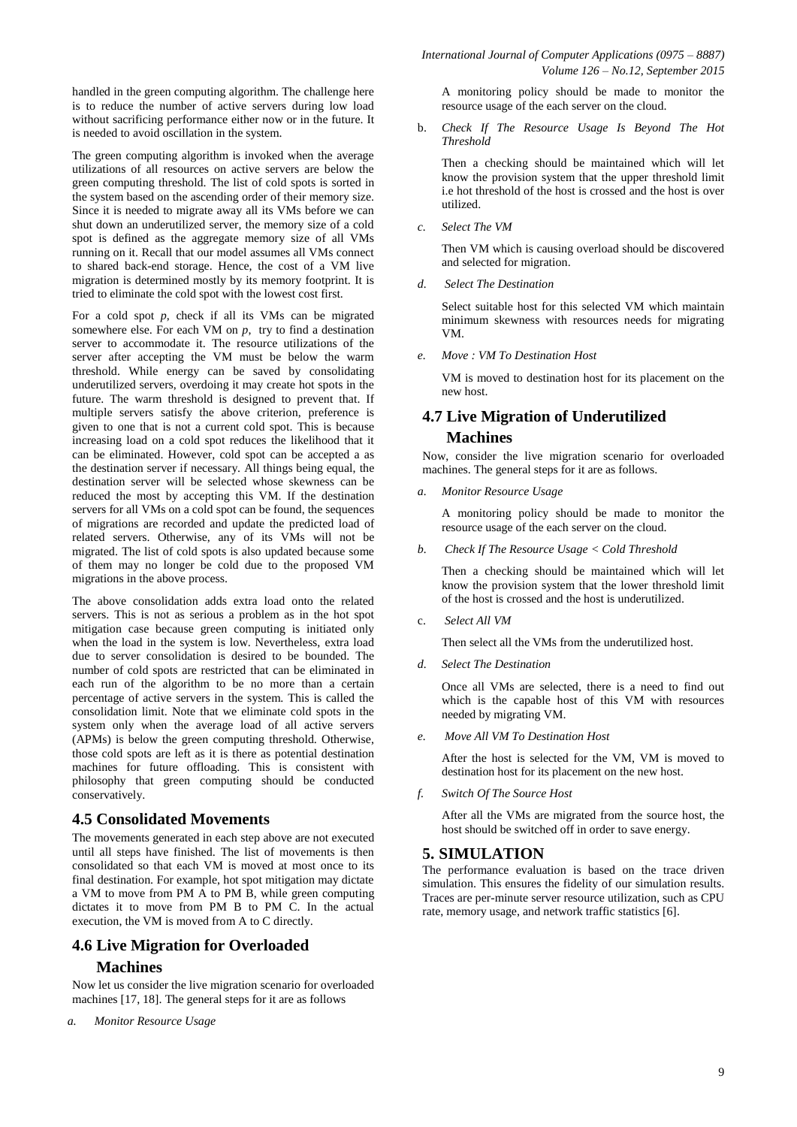handled in the green computing algorithm. The challenge here is to reduce the number of active servers during low load without sacrificing performance either now or in the future. It is needed to avoid oscillation in the system.

The green computing algorithm is invoked when the average utilizations of all resources on active servers are below the green computing threshold. The list of cold spots is sorted in the system based on the ascending order of their memory size. Since it is needed to migrate away all its VMs before we can shut down an underutilized server, the memory size of a cold spot is defined as the aggregate memory size of all VMs running on it. Recall that our model assumes all VMs connect to shared back-end storage. Hence, the cost of a VM live migration is determined mostly by its memory footprint. It is tried to eliminate the cold spot with the lowest cost first.

For a cold spot *p*, check if all its VMs can be migrated somewhere else. For each VM on *p*, try to find a destination server to accommodate it. The resource utilizations of the server after accepting the VM must be below the warm threshold. While energy can be saved by consolidating underutilized servers, overdoing it may create hot spots in the future. The warm threshold is designed to prevent that. If multiple servers satisfy the above criterion, preference is given to one that is not a current cold spot. This is because increasing load on a cold spot reduces the likelihood that it can be eliminated. However, cold spot can be accepted a as the destination server if necessary. All things being equal, the destination server will be selected whose skewness can be reduced the most by accepting this VM. If the destination servers for all VMs on a cold spot can be found, the sequences of migrations are recorded and update the predicted load of related servers. Otherwise, any of its VMs will not be migrated. The list of cold spots is also updated because some of them may no longer be cold due to the proposed VM migrations in the above process.

The above consolidation adds extra load onto the related servers. This is not as serious a problem as in the hot spot mitigation case because green computing is initiated only when the load in the system is low. Nevertheless, extra load due to server consolidation is desired to be bounded. The number of cold spots are restricted that can be eliminated in each run of the algorithm to be no more than a certain percentage of active servers in the system. This is called the consolidation limit. Note that we eliminate cold spots in the system only when the average load of all active servers (APMs) is below the green computing threshold. Otherwise, those cold spots are left as it is there as potential destination machines for future offloading. This is consistent with philosophy that green computing should be conducted conservatively.

### **4.5 Consolidated Movements**

The movements generated in each step above are not executed until all steps have finished. The list of movements is then consolidated so that each VM is moved at most once to its final destination. For example, hot spot mitigation may dictate a VM to move from PM A to PM B, while green computing dictates it to move from PM B to PM C. In the actual execution, the VM is moved from A to C directly.

# **4.6 Live Migration for Overloaded Machines**

Now let us consider the live migration scenario for overloaded machines [17, 18]. The general steps for it are as follows

*International Journal of Computer Applications (0975 – 8887)*

b. *Check If The Resource Usage Is Beyond The Hot Threshold*

Then a checking should be maintained which will let know the provision system that the upper threshold limit i.e hot threshold of the host is crossed and the host is over utilized.

*c. Select The VM*

Then VM which is causing overload should be discovered and selected for migration.

*d. Select The Destination*

Select suitable host for this selected VM which maintain minimum skewness with resources needs for migrating VM.

*e. Move : VM To Destination Host*

VM is moved to destination host for its placement on the new host.

# **4.7 Live Migration of Underutilized Machines**

Now, consider the live migration scenario for overloaded machines. The general steps for it are as follows.

*a. Monitor Resource Usage*

A monitoring policy should be made to monitor the resource usage of the each server on the cloud.

*b. Check If The Resource Usage < Cold Threshold*

Then a checking should be maintained which will let know the provision system that the lower threshold limit of the host is crossed and the host is underutilized.

c. *Select All VM*

Then select all the VMs from the underutilized host.

*d. Select The Destination*

Once all VMs are selected, there is a need to find out which is the capable host of this VM with resources needed by migrating VM.

*e. Move All VM To Destination Host*

After the host is selected for the VM, VM is moved to destination host for its placement on the new host.

*f. Switch Of The Source Host*

After all the VMs are migrated from the source host, the host should be switched off in order to save energy.

### **5. SIMULATION**

The performance evaluation is based on the trace driven simulation. This ensures the fidelity of our simulation results. Traces are per-minute server resource utilization, such as CPU rate, memory usage, and network traffic statistics [6].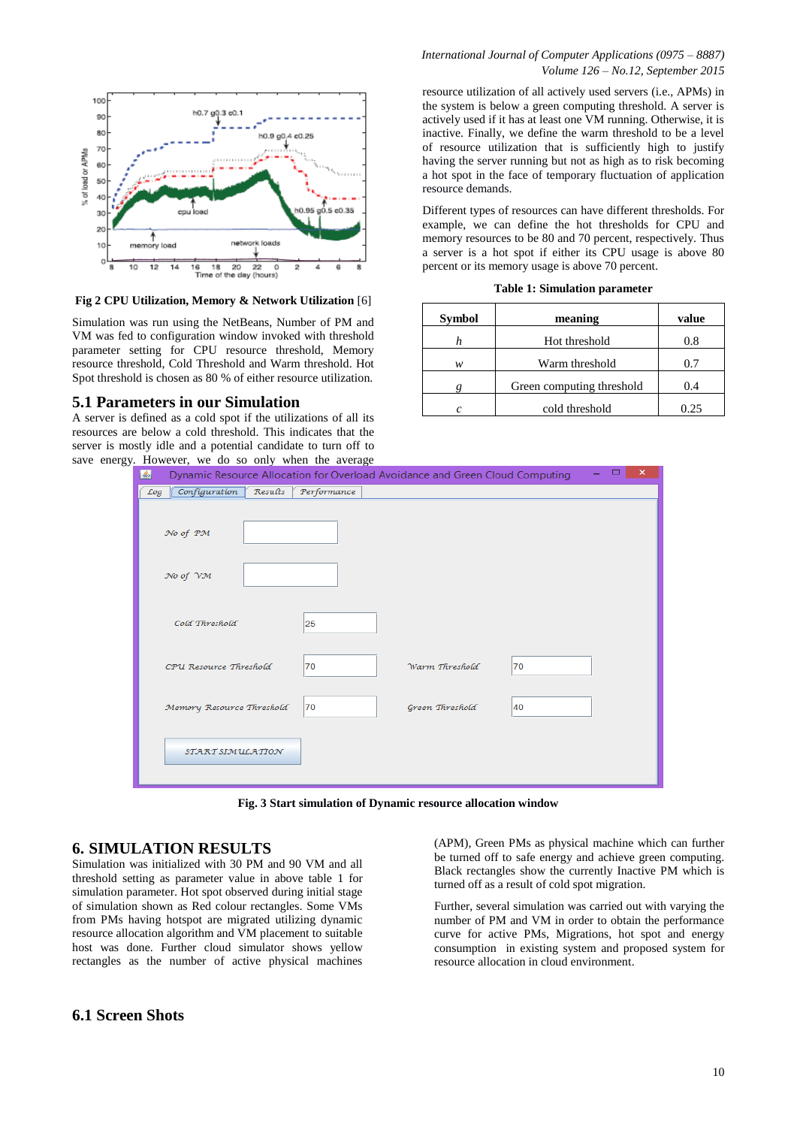

**Fig 2 CPU Utilization, Memory & Network Utilization** [6]

Simulation was run using the NetBeans, Number of PM and VM was fed to configuration window invoked with threshold parameter setting for CPU resource threshold, Memory resource threshold, Cold Threshold and Warm threshold. Hot Spot threshold is chosen as 80 % of either resource utilization.

### **5.1 Parameters in our Simulation**

A server is defined as a cold spot if the utilizations of all its resources are below a cold threshold. This indicates that the server is mostly idle and a potential candidate to turn off to save energy. However, we do so only when the

resource utilization of all actively used servers (i.e., APMs) in the system is below a green computing threshold. A server is actively used if it has at least one VM running. Otherwise, it is inactive. Finally, we define the warm threshold to be a level of resource utilization that is sufficiently high to justify having the server running but not as high as to risk becoming a hot spot in the face of temporary fluctuation of application resource demands.

Different types of resources can have different thresholds. For example, we can define the hot thresholds for CPU and memory resources to be 80 and 70 percent, respectively. Thus a server is a hot spot if either its CPU usage is above 80 percent or its memory usage is above 70 percent.

|  |  |  | <b>Table 1: Simulation parameter</b> |  |
|--|--|--|--------------------------------------|--|
|--|--|--|--------------------------------------|--|

| <b>Symbol</b> | meaning                   | value |  |
|---------------|---------------------------|-------|--|
|               | Hot threshold             | 0.8   |  |
| w             | Warm threshold            | 0.7   |  |
|               | Green computing threshold | 0.4   |  |
|               | cold threshold            | 0.25  |  |

|                                                                                   | y. However, we do so only when the average |                 |    |               |  |  |  |  |
|-----------------------------------------------------------------------------------|--------------------------------------------|-----------------|----|---------------|--|--|--|--|
| Dynamic Resource Allocation for Overload Avoidance and Green Cloud Computing<br>Ł |                                            |                 |    | □<br>$\times$ |  |  |  |  |
| Results<br>Log Configuration                                                      | Performance                                |                 |    |               |  |  |  |  |
|                                                                                   |                                            |                 |    |               |  |  |  |  |
| No of PM                                                                          |                                            |                 |    |               |  |  |  |  |
|                                                                                   |                                            |                 |    |               |  |  |  |  |
| No of VM                                                                          |                                            |                 |    |               |  |  |  |  |
|                                                                                   |                                            |                 |    |               |  |  |  |  |
|                                                                                   |                                            |                 |    |               |  |  |  |  |
| Cold Threshold                                                                    | 25                                         |                 |    |               |  |  |  |  |
|                                                                                   |                                            |                 |    |               |  |  |  |  |
| CPU Resource Threshold                                                            | 70                                         | Warm Threshold  | 70 |               |  |  |  |  |
|                                                                                   |                                            |                 |    |               |  |  |  |  |
| Memory Resource Threshold                                                         | 70                                         | Green Threshold | 40 |               |  |  |  |  |
|                                                                                   |                                            |                 |    |               |  |  |  |  |
| START SIMULATION                                                                  |                                            |                 |    |               |  |  |  |  |
|                                                                                   |                                            |                 |    |               |  |  |  |  |
|                                                                                   |                                            |                 |    |               |  |  |  |  |

**Fig. 3 Start simulation of Dynamic resource allocation window**

### **6. SIMULATION RESULTS**

Simulation was initialized with 30 PM and 90 VM and all threshold setting as parameter value in above table 1 for simulation parameter. Hot spot observed during initial stage of simulation shown as Red colour rectangles. Some VMs from PMs having hotspot are migrated utilizing dynamic resource allocation algorithm and VM placement to suitable host was done. Further cloud simulator shows yellow rectangles as the number of active physical machines

### **6.1 Screen Shots**

(APM), Green PMs as physical machine which can further be turned off to safe energy and achieve green computing. Black rectangles show the currently Inactive PM which is turned off as a result of cold spot migration.

Further, several simulation was carried out with varying the number of PM and VM in order to obtain the performance curve for active PMs, Migrations, hot spot and energy consumption in existing system and proposed system for resource allocation in cloud environment.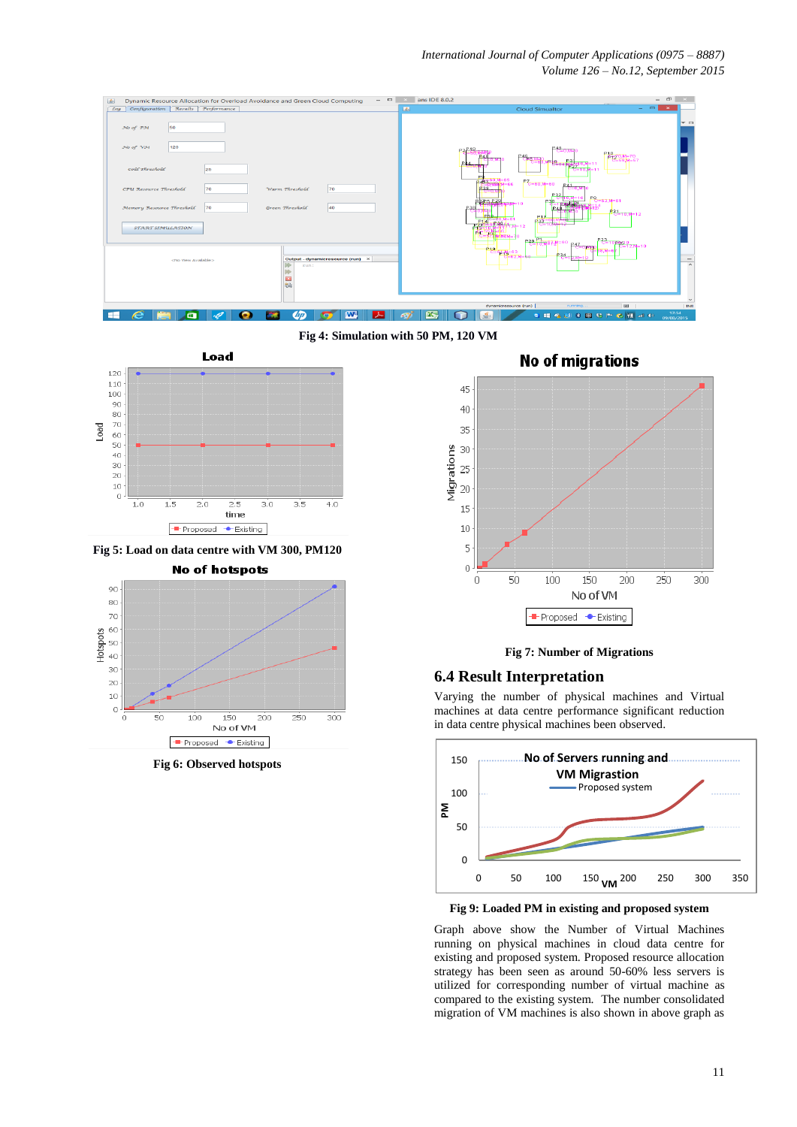*International Journal of Computer Applications (0975 – 8887) Volume 126 – No.12, September 2015*



**Fig 4: Simulation with 50 PM, 120 VM** 



**Fig 5: Load on data centre with VM 300, PM120**

**No of hotspots** 



**Fig 6: Observed hotspots**

### **No of migrations**



### **Fig 7: Number of Migrations**

### **6.4 Result Interpretation**

Varying the number of physical machines and Virtual machines at data centre performance significant reduction in data centre physical machines been observed.



**Fig 9: Loaded PM in existing and proposed system**

Graph above show the Number of Virtual Machines running on physical machines in cloud data centre for existing and proposed system. Proposed resource allocation strategy has been seen as around 50-60% less servers is utilized for corresponding number of virtual machine as compared to the existing system. The number consolidated migration of VM machines is also shown in above graph as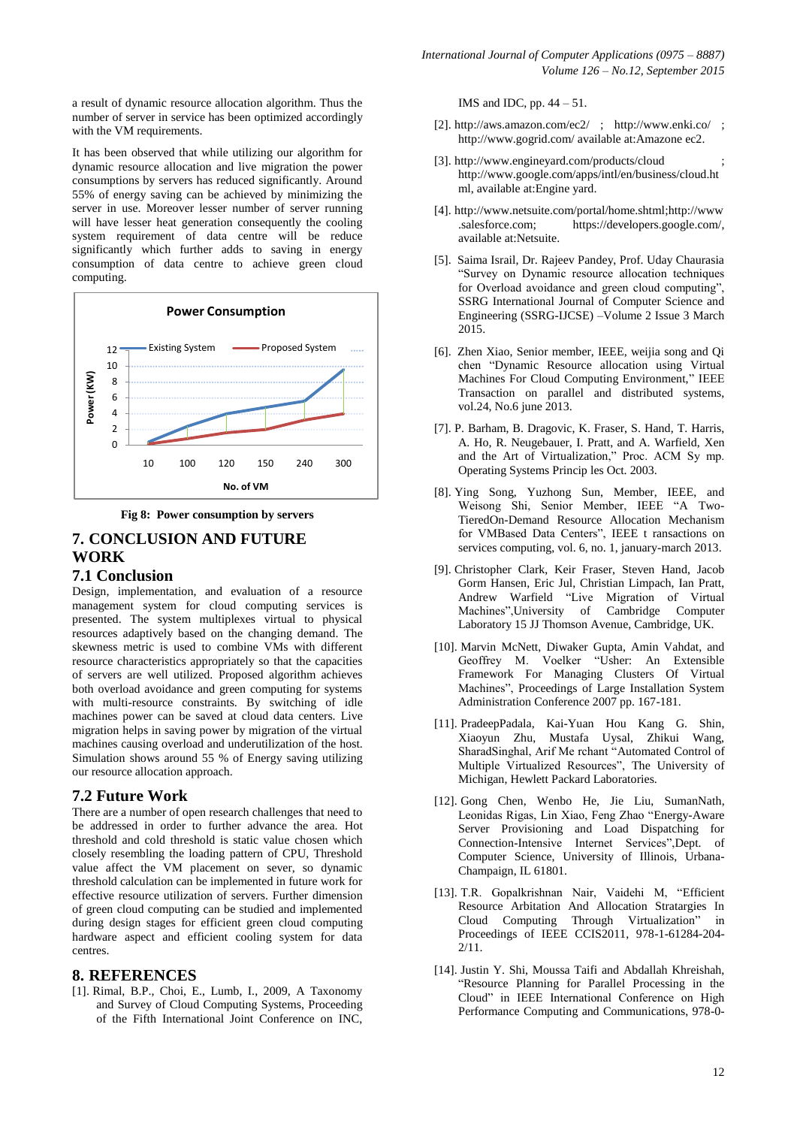a result of dynamic resource allocation algorithm. Thus the number of server in service has been optimized accordingly with the VM requirements.

It has been observed that while utilizing our algorithm for dynamic resource allocation and live migration the power consumptions by servers has reduced significantly. Around 55% of energy saving can be achieved by minimizing the server in use. Moreover lesser number of server running will have lesser heat generation consequently the cooling system requirement of data centre will be reduce significantly which further adds to saving in energy consumption of data centre to achieve green cloud computing.



**Fig 8: Power consumption by servers**

# **7. CONCLUSION AND FUTURE WORK 7.1 Conclusion**

Design, implementation, and evaluation of a resource management system for cloud computing services is presented. The system multiplexes virtual to physical resources adaptively based on the changing demand. The skewness metric is used to combine VMs with different resource characteristics appropriately so that the capacities of servers are well utilized. Proposed algorithm achieves both overload avoidance and green computing for systems with multi-resource constraints. By switching of idle machines power can be saved at cloud data centers. Live migration helps in saving power by migration of the virtual machines causing overload and underutilization of the host. Simulation shows around 55 % of Energy saving utilizing our resource allocation approach.

### **7.2 Future Work**

There are a number of open research challenges that need to be addressed in order to further advance the area. Hot threshold and cold threshold is static value chosen which closely resembling the loading pattern of CPU, Threshold value affect the VM placement on sever, so dynamic threshold calculation can be implemented in future work for effective resource utilization of servers. Further dimension of green cloud computing can be studied and implemented during design stages for efficient green cloud computing hardware aspect and efficient cooling system for data centres.

### **8. REFERENCES**

[1]. Rimal, B.P., Choi, E., Lumb, I., 2009, A Taxonomy and Survey of Cloud Computing Systems, Proceeding of the Fifth International Joint Conference on INC,

IMS and IDC, pp. 44 – 51.

- [2]. <http://aws.amazon.com/ec2/> ; <http://www.enki.co/> ; <http://www.gogrid.com/> available at:Amazone ec2.
- [3]. <http://www.engineyard.com/products/cloud> [http://www.google.com/apps/intl/en/business/cloud.ht](http://www.google.com/apps/intl/en/business/cloud.html) [ml,](http://www.google.com/apps/intl/en/business/cloud.html) available at:Engine yard.
- [4]. <http://www.netsuite.com/portal/home.shtml>[;http://www](http://www.salesforce.com/) [.salesforce.com;](http://www.salesforce.com/) [https://developers.google.com/,](https://developers.google.com/appengine/) available at:Netsuite.
- [5]. Saima Israil, Dr. Rajeev Pandey, Prof. Uday Chaurasia "Survey on Dynamic resource allocation techniques for Overload avoidance and green cloud computing", SSRG International Journal of Computer Science and Engineering (SSRG-IJCSE) –Volume 2 Issue 3 March 2015.
- [6]. Zhen Xiao, Senior member, IEEE, weijia song and Qi chen "Dynamic Resource allocation using Virtual Machines For Cloud Computing Environment," IEEE Transaction on parallel and distributed systems, vol.24, No.6 june 2013.
- [7]. P. Barham, B. Dragovic, K. Fraser, S. Hand, T. Harris, A. Ho, R. Neugebauer, I. Pratt, and A. Warfield, Xen and the Art of Virtualization," Proc. ACM Sy mp. Operating Systems Princip les Oct. 2003.
- [8]. Ying Song, Yuzhong Sun, Member, IEEE, and Weisong Shi, Senior Member, IEEE "A Two-TieredOn-Demand Resource Allocation Mechanism for VMBased Data Centers", IEEE t ransactions on services computing, vol. 6, no. 1, january-march 2013.
- [9]. Christopher Clark, Keir Fraser, Steven Hand, Jacob Gorm Hansen, Eric Jul, Christian Limpach, Ian Pratt, Andrew Warfield "Live Migration of Virtual Machines",University of Cambridge Computer Laboratory 15 JJ Thomson Avenue, Cambridge, UK.
- [10]. Marvin McNett, Diwaker Gupta, Amin Vahdat, and Geoffrey M. Voelker "Usher: An Extensible Framework For Managing Clusters Of Virtual Machines", Proceedings of Large Installation System Administration Conference 2007 pp. 167-181.
- [11]. PradeepPadala, Kai-Yuan Hou Kang G. Shin, Xiaoyun Zhu, Mustafa Uysal, Zhikui Wang, SharadSinghal, Arif Me rchant "Automated Control of Multiple Virtualized Resources", The University of Michigan, Hewlett Packard Laboratories.
- [12]. Gong Chen, Wenbo He, Jie Liu, SumanNath, Leonidas Rigas, Lin Xiao, Feng Zhao "Energy-Aware Server Provisioning and Load Dispatching for Connection-Intensive Internet Services",Dept. of Computer Science, University of Illinois, Urbana-Champaign, IL 61801.
- [13]. T.R. Gopalkrishnan Nair, Vaidehi M, "Efficient Resource Arbitation And Allocation Stratargies In Cloud Computing Through Virtualization" in Proceedings of IEEE CCIS2011, 978-1-61284-204- 2/11.
- [14]. Justin Y. Shi, Moussa Taifi and Abdallah Khreishah, "Resource Planning for Parallel Processing in the Cloud" in IEEE International Conference on High Performance Computing and Communications, 978-0-